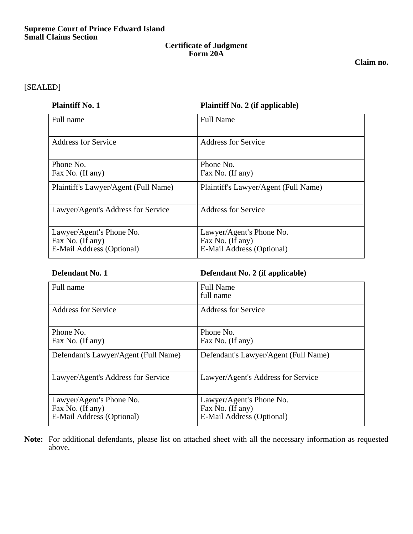## **Certificate of Judgment Form 20A**

**Claim no.**

## [SEALED]

| <b>Plaintiff No. 1</b>                                                    | <b>Plaintiff No. 2 (if applicable)</b>                                    |
|---------------------------------------------------------------------------|---------------------------------------------------------------------------|
| Full name                                                                 | <b>Full Name</b>                                                          |
| <b>Address for Service</b>                                                | <b>Address for Service</b>                                                |
| Phone No.<br>Fax No. (If any)                                             | Phone No.<br>Fax No. (If any)                                             |
| Plaintiff's Lawyer/Agent (Full Name)                                      | Plaintiff's Lawyer/Agent (Full Name)                                      |
| Lawyer/Agent's Address for Service                                        | <b>Address for Service</b>                                                |
| Lawyer/Agent's Phone No.<br>Fax No. (If any)<br>E-Mail Address (Optional) | Lawyer/Agent's Phone No.<br>Fax No. (If any)<br>E-Mail Address (Optional) |

# **Defendant No. 1 Defendant No. 2 (if applicable)**

| Full name                                                                 | <b>Full Name</b><br>full name                                             |
|---------------------------------------------------------------------------|---------------------------------------------------------------------------|
| <b>Address for Service</b>                                                | <b>Address for Service</b>                                                |
| Phone No.<br>Fax No. (If any)                                             | Phone No.<br>Fax No. (If any)                                             |
| Defendant's Lawyer/Agent (Full Name)                                      | Defendant's Lawyer/Agent (Full Name)                                      |
| Lawyer/Agent's Address for Service                                        | Lawyer/Agent's Address for Service                                        |
| Lawyer/Agent's Phone No.<br>Fax No. (If any)<br>E-Mail Address (Optional) | Lawyer/Agent's Phone No.<br>Fax No. (If any)<br>E-Mail Address (Optional) |

**Note:** For additional defendants, please list on attached sheet with all the necessary information as requested above.